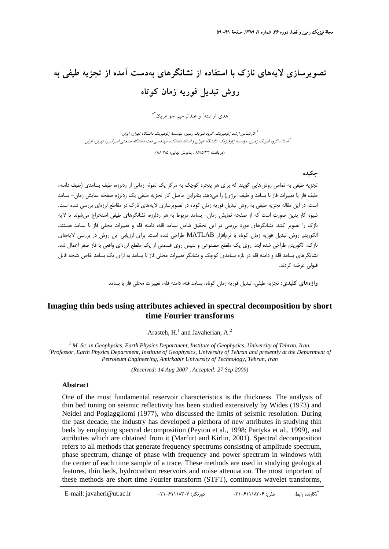# **تصويرسازي لايههاي نازك با استفاده از نشانگرهاي بهدست آمده از تجزيه طيفي به روش تبديل فوريه زمان كوتاه**

هدى آراسته<sup>\</sup> و عبدالرحيم جواهريان<sup>\*\*</sup>

كارشناس ارشد ژئوفيزيك، گروه فيزيك زمين، مؤسسة ژئوفيزيك دانشگاه تهران، ايران <sup>1</sup> استاد، گروه فيزيك زمين، مؤسسه ژئوفيزيك، دانشگاه تهران <sup>و</sup> استاد دانشكده مهندسي نفت دانشگاه صنعتي اميركبير، تهران، ايران <sup>2</sup>

(دريافت: 86/5/23 ، پذيرش نهايي: 88/7/5)

#### **چكيده**

تجزيه طيفي به تمامي روشهايي گويند كه براي هر پنجره كوچك به مركز يك نمونه زماني از ردلرزه، طيف بسامدي (طيف دامنه، طيف فاز يا تغييرات فاز با بسامد و طيف انرژي) را ميدهد. بنابراين حاصل كار تجزيه طيفي يك ردلرزه صفحه نمايش زمان- بسامد است. در اين مقاله تجزيه طيفي به روش تبديل فوريه زمان كوتاه در تصويرسازي لايههاي نازك در مقاطع لرزهاي بررسي شده است. شيوه كار بدين صورت است كه از صفحه نمايش زمان- بسامد مربوط به هر ردلرزه، نشانگرهاي طيفي استخراج ميشوند تا لايه نازك را تصوير كنند. نشانگرهاي مورد بررسي در اين تحقيق شامل بسامد قله، دامنه قله و تغييرات محلي فاز با بسامد هستند. الگوريتم روش تبديل فوريه زمان كوتاه با نرمافزار MATLAB طراحي شده است. براي ارزيابي اين روش در بررسي لايههاي نازك، الگوريتم طراحي شده ابتدا روي يك مقطع مصنوعي و سپس روي قسمتي از يك مقطع لرزهاي واقعي با فاز صفر اعمال شد. نشانگرهاي بسامد قله و دامنه قله در بازه بسامدي كوچك و نشانگر تغييرات محلي فاز با بسامد به ازاي يك بسامد خاص نتيجه قابل قبولي عرضه كردند.

**واژههاي كليدي:** تجزيه طيفي، تبديل فوريه زمان كوتاه، بسامد قله، دامنه قله، تغييرات محلي فاز با بسامد

## **Imaging thin beds using attributes achieved in spectral decomposition by short time Fourier transforms**

Arasteh,  $H<sup>1</sup>$  and Javaherian, A.<sup>2</sup>

<sup>1</sup> *M. Sc. in Geophysics, Earth Physics Department, Institute of Geophysics, University of Tehran, Iran.*<br><sup>2</sup> *Professor, Earth Physics Department, Institute of Ceophysics, University of Tehran and presently at the Dana Professor, Earth Physics Department, Institute of Geophysics, University of Tehran and presently at the Department of Petroleum Engineering, Amirkabir University of Technology, Tehran, Iran*

*(Received: 14 Aug 2007 , Accepted: 27 Sep 2009)*

## **Abstract**

One of the most fundamental reservoir characteristics is the thickness. The analysis of thin bed tuning on seismic reflectivity has been studied extensively by Wides (1973) and Neidel and Pogiaggliomi (1977), who discussed the limits of seismic resolution. During the past decade, the industry has developed a plethora of new attributes in studying thin beds by employing spectral decomposition (Peyton et al., 1998; Partyka et al., 1999), and attributes which are obtained from it (Marfurt and Kirlin, 2001). Spectral decomposition refers to all methods that generate frequency spectrums consisting of amplitude spectrum, phase spectrum, change of phase with frequency and power spectrum in windows with the center of each time sample of a trace. These methods are used in studying geological features, thin beds, hydrocarbon reservoirs and noise attenuation. The most important of these methods are short time Fourier transform (STFT), continuous wavelet transforms,

**<sup>\*</sup>** E-mail: javaheri@ut.ac.ir 021-61118307 :دورنگار 021-61118306 :تلفن :رابط نگارنده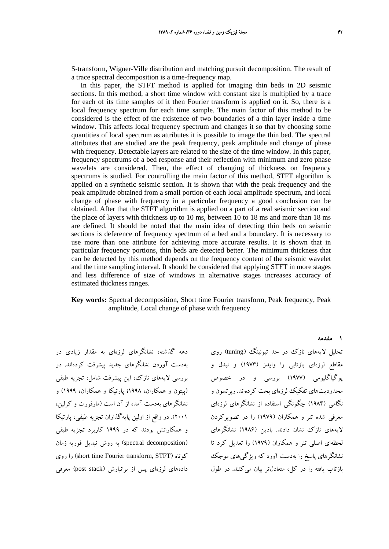S-transform, Wigner-Ville distribution and matching pursuit decomposition. The result of a trace spectral decomposition is a time-frequency map.

In this paper, the STFT method is applied for imaging thin beds in 2D seismic sections. In this method, a short time window with constant size is multiplied by a trace for each of its time samples of it then Fourier transform is applied on it. So, there is a local frequency spectrum for each time sample. The main factor of this method to be considered is the effect of the existence of two boundaries of a thin layer inside a time window. This affects local frequency spectrum and changes it so that by choosing some quantities of local spectrum as attributes it is possible to image the thin bed. The spectral attributes that are studied are the peak frequency, peak amplitude and change of phase with frequency. Detectable layers are related to the size of the time window. In this paper, frequency spectrums of a bed response and their reflection with minimum and zero phase wavelets are considered. Then, the effect of changing of thickness on frequency spectrums is studied. For controlling the main factor of this method, STFT algorithm is applied on a synthetic seismic section. It is shown that with the peak frequency and the peak amplitude obtained from a small portion of each local amplitude spectrum, and local change of phase with frequency in a particular frequency a good conclusion can be obtained. After that the STFT algorithm is applied on a part of a real seismic section and the place of layers with thickness up to 10 ms, between 10 to 18 ms and more than 18 ms are defined. It should be noted that the main idea of detecting thin beds on seismic sections is deference of frequency spectrum of a bed and a boundary. It is necessary to use more than one attribute for achieving more accurate results. It is shown that in particular frequency portions, thin beds are detected better. The minimum thickness that can be detected by this method depends on the frequency content of the seismic wavelet and the time sampling interval. It should be considered that applying STFT in more stages and less difference of size of windows in alternative stages increases accuracy of estimated thickness ranges.

#### **Key words:** Spectral decomposition, Short time Fourier transform, Peak frequency, Peak amplitude, Local change of phase with frequency

دهه گذشته، نشانگرهاي لرزهاي به مقدار زيادي در بهدست آوردن نشانگرهاي جديد پيشرفت كردهاند. در بررسي لايههاي نازك، اين پيشرفت شامل، تجزيه طيفي (پيتون و همكاران، 1998؛ پارتيكا و همكاران، 1999) و نشانگرهاي بهدست آمده از آن است (مارفورت و كرلين، 2001). در واقع از اولين پايهگذاران تجزيه طيفي، پارتيكا و همكارانش بودند كه در 1999 كاربرد تجزيه طيفي (spectral decomposition) به روش تبديل فوريه زمان روي را) short time Fourier transform, STFT) كوتاه دادههاي لرزهاي پس از برانبارش (stack post (معرفي

تحليل لايههاي نازك در حد تيونينگ (tuning (روي مقاطع لرزهاي بازتابي را وايدز (1973) و نيدل و پوگياگليومي (1977) بررسي و در خصوص محدوديتهاي تفكيك لرزهاي بحث كردهاند. ربرتسون و نگامي (1984) چگونگي استفاده از نشانگرهاي لرزهاي معرفي شده تنر و همكاران (1979) را در تصويركردن لايههاي نازك نشان دادند. بادين (1986) نشانگرهاي لحظهاي اصلي تنر و همكاران (1979) را تعديل كرد تا نشانگرهاي پاسخ را بهدست آورد كه ويژگيهاي موجك بازتاب يافته را در كل، متعادلتر بيان ميكنند. در طول

**1 مقدمه**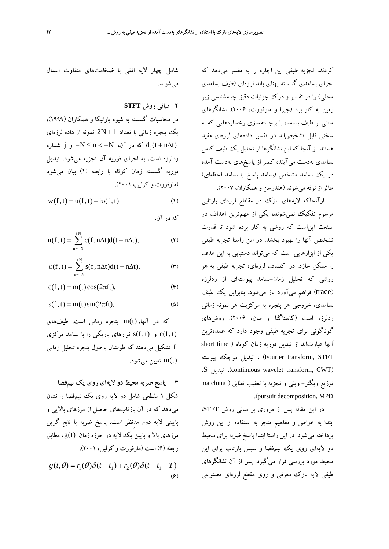كردند. تجزيه طيفي اين اجازه را به مفسر ميدهد كه اجزاي بسامدي گسسته پهناي باند لرزهاي (طيف بسامدي محلي) را در تفسير و درك جزئيات دقيق چينهشناسي زير زمين به كار برد (چپرا و مارفورت، 2006). نشانگرهاي مبتني بر طيف بسامد، با برجستهسازي رخسارههايي كه به سختي قابل تشخيصاند در تفسير دادههاي لرزهاي مفيد هستند. از آنجا كه اين نشانگرها از تحليل يك طيف كامل بسامدي بهدست ميآيند، كمتر از پاسخهاي بهدست آمده در يك بسامد مشخص (بسامد پاسخ يا بسامد لحظهاي) متاثراز نوفه ميشوند (هندرسن و همكاران، 2007).

ازآنجاكه لايههاي نازك در مقاطع لرزهاي بازتابي مرسوم تفكيك نميشوند، يكي از مهمترين اهداف در صنعت ايناست كه روشي به كار برده شود تا قدرت تشخيص آنها را بهبود بخشد. در اين راستا تجزيه طيفي يكي از ابزارهايي است كه ميتواند دستيابي به اين هدف را ممكن سازد. در اكتشاف لرزهاي، تجزيه طيفي به هر روشي كه تحليل زمان-بسامد پيوستهاي از ردلرزه (trace) فراهم ميآورد باز مي شود. بنابراين يك طيف بسامدي، خروجي هر پنجره به مركزيت هر نمونه زماني ردلرزه است (كاستاگنا و سان، 2006). روشهاي گوناگوني براي تجزيه طيفي وجود دارد كه عمدهترين آنها عبارتاند از تبديل فوريه زمان كوتاه ( time short Fourier transform, STFT) ، تبديل موجك پيوسته ،S تبديل ،)continuous wavelet transform, CWT) توزيع ويگنر- ويلي و تجزيه با تعقيب تطابق ( matching .(pursuit decomposition, MPD

در اين مقاله پس از مروري بر مباني روش STFT، ابتدا به خواص و مفاهيم منجر به استفاده از اين روش پرداخته ميشود. در اين راستا ابتدا پاسخ ضربه براي محيط دو لايهاي روي يك نيمفضا و سپس بازتاب براي اين محيط مورد بررسي قرار ميگيرد. پس از آن نشانگرهاي طيفي لايه نازك معرفي و روي مقطع لرزهاي مصنوعي

شامل چهار لايه افقي با ضخامتهاي متفاوت اعمال مي شوند.

**2 مباني روش STFT**

در محاسبات گسسته به شيوه پارتيكا و همكاران (1999)، يك پنجره زماني با تعداد 1+ N2 نمونه از داده لرزهاي که در آن،  $N \le n < +N$  و j شماره d,(t + n∆t) ردلرزه است، به اجزاي فوريه آن تجزيه ميشود. تبديل فوريه گسسته زمان كوتاه با رابطه (1) بيان ميشود (مارفورت و كرلين، 2001).

$$
w(f, t) = u(f, t) + iv(f, t)
$$
\n(1)

كه در آن،

$$
u(f,t) = \sum_{n=-N}^{+N} c(f,n\Delta t)d(t+n\Delta t),
$$
 (7)

$$
\upsilon(f,t)=\sum_{n=-N}^{+N}s(f,n\Delta t)d(t+n\Delta t),\qquad \qquad (\textbf{Y})
$$

$$
c(f, t) = m(t)\cos(2\pi ft), \tag{F}
$$

$$
s(f, t) = m(t)\sin(2\pi ft),\tag{2}
$$

كه در آنها،(t(m پنجره زماني است. طيفهاي و  $(f, t)$  نوارهاي باريكي را با بسامد مركزي  $c(f, t)$ f تشكيل ميدهند كه طولشان با طول پنجره تحليل زماني تعيين مي شود. The  $m(t)$ 

**3 پاسخ ضربه محيط دو لايهاي روي يك نيمفضا** شكل 1 مقطعي شامل دو لايه روي يك نيمفضا را نشان ميدهد كه در آن بازتابهاي حاصل از مرزهاي بالايي و پاييني لايه دوم مدِنظر است. پاسخ ضربه يا تابع گرين مرزهای بالا و پايين يک لايه در حوزه زمان (g(t) ،مطابق رابطه (6) است (مارفورت و كرلين، 2001).  $g(t, \theta) = r_1(\theta) \delta(t - t_1) + r_2(\theta) \delta(t - t_1 - T)$  $(9)$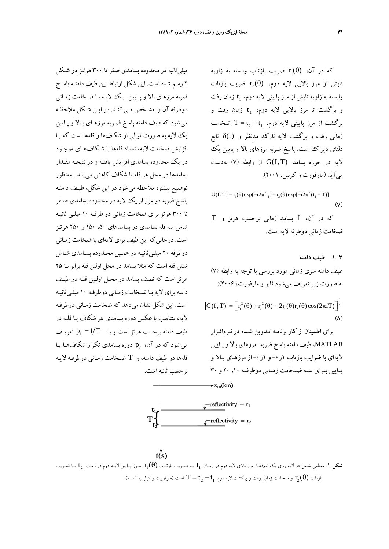$r_{i}(\theta)$  كه در آن،  $r_{i}(\theta)$  ضريب بازتاب وابسته به زاويه تابش از مرز بالايي لايه دوم،  $r_{\rm b}(\theta)$  ضريب بازتاب وابسته به زاويه تابش از مرز پاييني لايه دوم، t<sub>i</sub> زمان رفت و برگشت تا مرز بالايي لايه دوم،  $t_2$  زمان رفت و برگشت از مرز پاييني لايه دوم، 1+ $t_2 - t_1$  ضخامت زماني رفت و برگشت لايه نازك مدِنظر و (t(δ تابع دلتاي ديراك است. پاسخ ضربه مرزهاي بالا و پايين يك لايه در حوزه بسامد (T, f(G از رابطه (7) بهدست ميآيد (مارفورت و كرلين، 2001).

 $G(f, T) = r_1(\theta) \exp(-i2\pi ft_1) + r_2(\theta) \exp[-i2\pi f(t_1 + T)]$  $(V)$ 

كه در آن، f بسامد زماني برحسب هرتز و T ضخامت زماني دوطرفه لايه است.

**1-3 طيف دامنه** طيف دامنه سري زماني مورد بررسي با توجه به رابطه (7) به صورت زيرتعريف ميشود (ليو و مارفورت، 2006):  $|G(f, T)| = \left[ r_1^2(\theta) + r_2^2(\theta) + 2r_1(\theta)r_2(\theta)\cos(2\pi f T) \right]^{\frac{1}{2}}$  $(\Lambda)$ 

براي اطمينان از كار برنامـه تـدوين شـده در نـرمافـزار MATLAB، طيف دامنه پاسخ ضربه مرزهاي بالا و پـايين لايهاي با ضرايب بازتاب 1ر+0 و 1ر-0 از مرزهـاي بـالا و پــايين بــراي ســه ضــخامت زمــاني دوطرفــه ،10 20 و 30

ميليثانيه در محدوده بسامدي صفر تا 300 هرتـز در شـكل 2 رسم شده است. اين شكل ارتباط بين طيف دامنـه پا سـخ ضربه مرزهاي بالا و پـايين يـك لايـه بـا ضـخامت زمـاني دوطرفه آن را مشـخص مـي كنـد. در ايـن شـكل ملاحظـه ميشود كه طيف دامنه پاسخ ضـربه مرزهـاي بـالا و پـايين يك لايه به صورت توالي از شكاف ها و قلهها است كه بـا افزايش ضخامت لايه، تعداد قله ها يا شـكافهـاي موجـود در يك محدوده بسامدي افزايش يافتـه و در نتيجـه مقـدار بسامدها در محل هر قله يا شكاف كاهش مي يابد. بهمنظور توضيح بيشتر، ملاحظه ميشود در اين شكل، طيـف دامنـه پاسخ ضربه دو مرز از يك لايه در محدوده بسامدي صـفر تا 300 هرتز براي ضخامت زماني دو طرفـه 10 ميلـي ثانيـه شامل سه قله بسامدي در بسامدهاي ،50 150 و 250 هرتـز است. درحالي كه اين طيف براي لايهاي با ضخامت زمـاني دوطرفه 20 ميلـيثانيـه در همـين محـدوده بسـامدي شـامل شش قله است كه مثلا بسامد در محل اولين قله برابر بـا 25 هرتز است كه نصف بسامد در محـل اولـين قلـه در طيـف دامنه براي لايه بـا ضـخامت زمـاني دوطرفـه 10 ميلـيثانيـه است. اين شكل نشان ميدهد كه ضخامت زمـاني دوطرفـه لايه، متناسب با عكس دوره بسامدي هر شكاف يـا قلـه در طيف دامنه برحسب هرتز است و بـا  $T$ / $\Gamma$  تعريـف مي شود كه در آن، p, دوره بسامدي تكرار شكاف هـا يـا قلهها در طيف دامنه، و T ضـخامت زمـاني دوطرفـه لايـه برحسب ثانيه است.

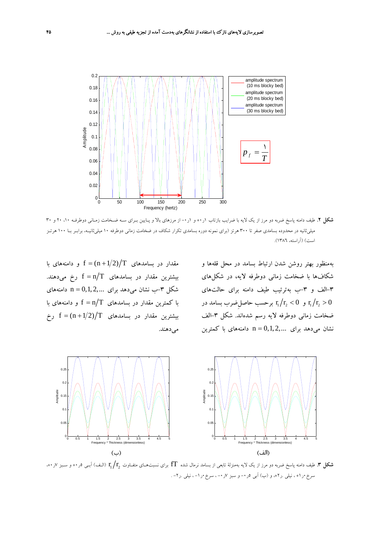

**شكل .2** طيف دامنه پاسخ ضربه دو مرز از يك لايه با ضرايب بازتاب 1ر+0 و 1ر-0 از مرزهاي بالا و پـايين بـراي سـه ضـخامت زمـاني دوطرفـه ،10 20 و 30 ميليثانيه در محدوده بسامدي صفر تا 300 هرتز (براي نمونه دوره بسامدي تكرار شكاف در ضخامت زماني دوطرفه 10 ميليثانيـه، برابـر بـا 100 هرتـز است) (آراسته، 1386).

بهمنظور بهتر روشن شدن ارتباط بسامد در محل قلهها و شكافها با ضخامت زماني دوطرفه لايه، در شكلهاي -3الف و -3ب بهترتيب طيف دامنه براي حالتهاي و  ${\rm r}_{\rm i} / {\rm r}_{\rm i} <$  برحسب حاصل ضرب بسامد در  ${\rm r}_{\rm i} / {\rm r}_{\rm i} > 0$ ضخامت زمانی دوطرفه لايه رسم شدهاند. شكل ۳-الف نشان مي دهد براي  $n = 0, 1, 2, ...$  دامنههاي با كمترين

مقدار در بسامدهای  $f = (n + 1/2)/T$  و دامنههای با بيشترين مقدار در بسامدهای  $f = n/T$  رخ میدهند. شكل ٣-ب نشان مي دهد براي  $n = 0,1,2,...$  دامنههاي با كمترين مقدار در بسامدهاي  $f = n/T$  و دامنههاي با بيشترين مقدار در بسامدهای f =  $(n+1/2)/T$  رخ مي دهند.



r r) الـف) آبـي <sup>5</sup>ر+0 <sup>و</sup> سـبز <sup>7</sup>ر،+0 2 1 **شكل .3** طيف دامنه پاسخ ضربه دو مرز از يك لايه بهمنزلة تابعي از بسامد نرمال شده fT براي نسبتهـاي متفـاوت سرخ •ر (+، نيلي .ر٢+، و (ب) آبي ٥ر •– و سبز ٧ر •– ، سرخ •ر ١– ، نيلي .ر٢– .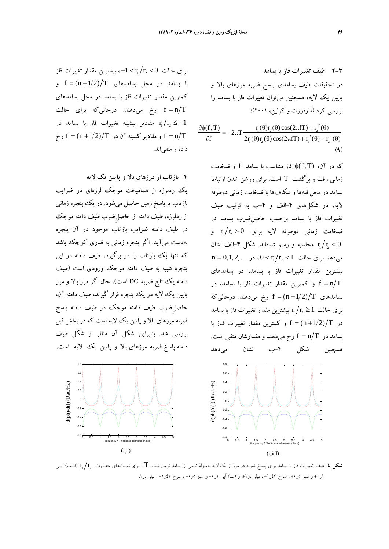$\partial f$   $2r_1(\theta)r_2(\theta)\cos(2\pi fT) + r_1^2(\theta) + r_2^2(\theta)$  $\partial \phi(f, T) = -2\pi T$ برای حالت  $\rm r_{\rm i}$  /  $\rm r_{\rm i}$  / بيشترين مقدار تغييرات فاز با بسامد در محل بسامدهای  $f = (n + 1/2)/T$  و كمترين مقدار تغييرات فاز با بسامد در محل بسامدهاي رخ ميدهند. درحاليكه براي حالت  $f = n/T$ مقادير بيشينه تغييرات فاز با بسامد در  $r_{\rm i}/r_{\rm i} \le -1$ و مقادير كمينه آن در  $f = (n + 1/2)/T$  رخ f  $f = n/T$ داده و منفياند.

**4 بازتاب از مرزهاي بالا و پايين يك لايه** يك ردلرزه از هماميخت موجك لرزهاي در ضرايب بازتاب يا پاسخ زمين حاصل ميشود. در يك پنجره زماني از ردلرزه، طيف دامنه از حاصلِضرب طيف دامنه موجك در طيف دامنه ضرايب بازتاب موجود در آن پنجره بهدست ميآيد. اگر پنجره زماني به قدري كوچك باشد كه تنها يك بازتاب را در برگيرد، طيف دامنه در اين پنجره شبيه به طيف دامنه موجك ورودي است (طيف دامنه يك تابع ضربه DC است)، حال اگر مرز بالا و مرز پايين يك لايه در يك پنجره قرار گيرند، طيف دامنه آن، حاصلِضرب طيف دامنه موجك در طيف دامنه پاسخ ضربه مرزهاي بالا و پايين يك لايه است كه در بخش قبل بررسي شد. بنابراين شكل آن متاثر از شكل طيف دامنه پاسخ ضربه مرزهاي بالا و پايين يك لايه است.



**2-3 طيف تغييرات فاز با بسامد** در تحقيقات طيف بسامدي پاسخ ضربه مرزهاي بالا و پايين يك لايه، همچنين ميتوان تغييرات فاز با بسامد را بررسي كرد (مارفورت و كرلين، 2001)؛ 2  $\frac{\partial \phi(f, T)}{\partial \phi(f, T)} = -2\pi T \frac{r_1(\theta)r_2(\theta)\cos(2\pi f T) + r_2^{2}(\theta)}{2\pi f T}$  $2(0) \cdot 2$ 

كه در آن، (T,f(φ فاز متناسب با بسامد f و ضخامت زماني رفت و برگشت T است. براي روشن شدن ارتباط بسامد در محل قلهها و شكافها با ضخامت زماني دوطرفه لايه، در شكلهاي -4الف و -4ب به ترتيب طيف تغييرات فاز با بسامد برحسب حاصلِضرب بسامد در ضخامت زمانی دوطرفه لایه برای  $r_1/r_2 > 0$  و محاسبه و رسم شدهاند. شكل ۴–الف نشان  $\mathbf{r_1}/\mathbf{r_2} < 0$  $n = 0, 1, 2,...$  ، در  $0 < r_1/r_2 < 1$  میدهد برای حالت بيشترين مقدار تغييرات فاز با بسامد، در بسامدهاي و كمترين مقدار تغييرات فاز با بسامد، در  ${\rm f}={\rm n}/{\rm T}$ بسامدهاي  $f = (n + 1/2)/T$  رخ مي دهند. درحالي كه برای حالت  $r_1/r_2 \geq 1$  بيشترين مقدار تغييرات فاز با بسامد در  $f = (n + 1/2)/T$  و كمترين مقدار تغييرات فـاز با بسامد در  $\rm f = n/T$  رخ میدهند و مقدارشان منفی است. همچنين شكل -4ب نشان ميدهد



r r) الـف) آبـي 2 1 **شكل .4** طيف تغييرات فاز با بسامد براي پاسخ ضربه دو مرز از يك لايه بهمنزلة تابعي از بسامد نرمال شده fT براي نسبتهاي متفـاوت 1ر+و سبز ۰و+، سرخ ۶۲ر+، نيلي .ر٢+، و (ب) آبي ١ر٠- و سبز ٥ر٠-، سرخ ۶۳ر١-، نيلي .ر٢.

 $(9)$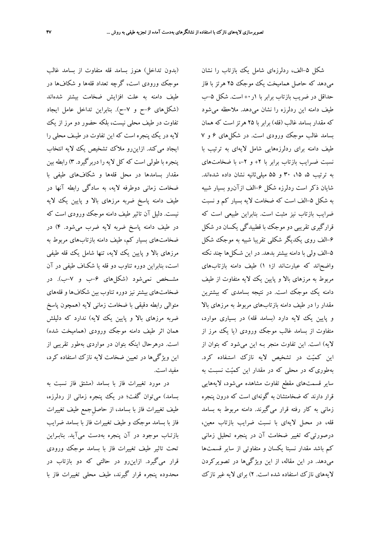(بدون تداخل) هنوز بسامد قله متفاوت از بسامد غالب موجك ورودي است، گرچه تعداد قلهها و شكافها در طيف دامنه به علت افزايش ضخامت بيشتر شدهاند (شكلهاي -6ح و -7ح). بنابراين تداخل عامل ايجاد تفاوت در طيف محلي نيست، بلكه حضور دو مرز از يك لايه در يك پنجره است كه اين تفاوت در طيـف محلي را ايجاد ميكند. ازاين رو ملاك تشخيص يك لايه انتخاب پنجره با طولي است كه كل لايه را دربرگيرد. 3) رابطه بين مقدار بسامدها در محل قلهها و شكافهاي طيفي با ضخامت زماني دوطرفه لايه، به سادگي رابطه آنها در طيف دامنه پاسخ ضربه مرزهاي بالا و پايين يك لايه نيست. دليل آن تاثير طيف دامنه موجك ورودي است كه در طيف دامنه پاسخ ضربه لايه ضرب ميشود. 4) در ضخامتهاي بسيار كم، طيف دامنه بازتابهاي مربوط به مرزهاي بالا و پايين يك لايه، تنها شامل يك قله طيفي است، بنابراين دوره تناوب دو قله يا شكـاف طيفي در آن مشــخص نميشود (شكلهاي -6ب و -7ب). در ضخامتهاي بيشتر نيز دوره تناوب بين شكافها و قلههاي متوالي رابطه دقيقي با ضخامت زماني لايه (همچون پاسخ ضربه مرزهاي بالا و پايين يك لايه) ندارد كه دليلش همان اثر طيف دامنه موجك ورودي (هماميخت شده) است. درهرحال اينكه بتوان در مواردي بهطور تقريبي از اين ويژگيها در تعيين ضخامت لايه نازك استفاده كرد، مفيد است.

در مورد تغييرات فاز با بسامد (مشتق فاز نسبت به بسامد) ميتوان گفت؛ در يك پنجره زماني از ردلرزه، طيف تغييرات فاز با بسامد، از حاصلِجمع طيف تغييرات فاز با بسامد موجك و طيف تغييرات فاز با بسامد ضرايب بازتـاب موجود در آن پنجره بهدست ميآيد. بنابـراين تحت تاثير طيف تغييرات فاز با بسامد موجك ورودي قرار ميگيرد. ازاينرو در حالتي كه دو بازتاب در محدوده پنجره قرار گيرند، طيف محلي تغييرات فاز با

شكل ۵–الف، ردلرزهاي شامل يك بازتاب را نشان ميدهد كه حاصل هماميخت يك موجك 25 هرتز با فاز حداقل در ضربت بازتاب برابر با ۱ر ++است. شكل ۵–ب طيف دامنه اين ردلرزه را نشان ميدهد. ملاحظه ميشود كه مقدار بسامد غالب (قله) برابر با 25 هرتز است كه همان بسامد غالب موجك ورودي است. در شكلهاي 6 و 7 طيف دامنه براي ردلرزههايي شامل لايهاي به ترتيب با نسبت ضـرايب بازتاب برابر با ٢+ و ٢-، با ضخامتهاي به ترتيب ۵، ۱۵، ۳۰ و ۵۵ ميلي ثانيه نشان داده شدهاند. شايان ذكر است ردلرزه شكل -6الف ازآنرو بسيار شبيه به شكل ۵–الف است كه ضخامت لايه بسيار كم و نسبت ضرايب بازتاب نيز مثبت است. بنابراين طبيعي است كه قرارگيري تقريبي دو موجك با قطبيدگي يكسان در شكل -6الف روي يكديگر شكلي تقريبا شبيه به موجك شكل -5الف ولي با دامنه بيشتر بدهد. در اين شـكلها چند نكته واضحاند كه عبارتاند از؛ 1) طيف دامنه بازتابهاي مربوط به مرزهاي بالا و پايين يك لايه متفاوت از طيف دامنه يك موجك است. در نتيجه بسامدي كه بيشترين مقدار را در طيف دامنه بازتابهاي مربوط به مرزهاي بالا و پايين يك لايه دارد (بسامد قله) در بسياري موارد، متفاوت از بسامد غالب موجك ورودي (يا يك مرز از لايه) است. اين تفاوت منجر بـه اين ميشود كه بتوان از اين كميت در تشخيص لايه نازك استـفاده كرد. بهطوريكه در محلي كه در مقدار اين كميت نسبـت به ساير قسمتهاي مقطع تفاوت مشاهده ميشود، لايههايي قرار دارند كه ضخامتشان به گونهاي است كه درون پنجره زماني به كار رفته قرار ميگيرند. دامنه مربوط به بسامد قله، در محـل لايهاي با نسبت ضرايب بازتاب معين، درصورتيكه تغيير ضخامت آن در پنجره تحليل زماني كم باشد مقدار نسبتا يكسان و متفاوتي از ساير قسمتها ميدهد. در اين مقاله، از اين ويژگيها در تصويركردن لايههاي نازك استفاده شده است. 2) براي لايه غير نازك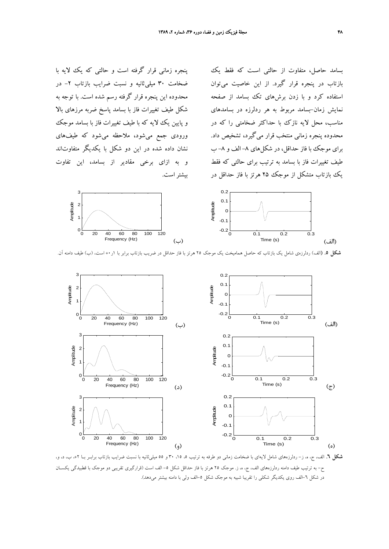پنجره زماني قرار گرفته است و حالتي كه يك لايه با ضخامت 30 ميليثانيه و نسبت ضرايب بازتاب -2 در محدوده اين پنجره قرار گرفته رسم شده است. با توجه به شكل طيف تغييرات فاز با بسامد پاسخ ضربه مرزهاي بالا و پايين يك لايه كه با طيف تغييرات فاز با بسامد موجك ورودي جمع ميشود، ملاحظه ميشود كه طيفهاي نشان داده شده در اين دو شكل با يكديگر متفاوتاند و به ازاي برخي مقادير از بسامد، اين تفاوت بيشتراست.

بسامد حاصل، متفاوت از حالتي اسـت كه فقط يك بازتاب در پنجره قرار گيرد. از اين خاصيت ميتوان استفاده كرد و با زدن برشهاي تك بسامد از صفحه نمايش زمان-بسامد مربوط به هر ردلرزه در بسامدهاي مناسب، محل لايه نازك با حداكثر ضخامتي را كه در محدوده پنجره زماني منتخب قرار ميگيرد، تشخيص داد. براي موجك با فاز حداقل، در شكلهاي ٨- الف و ٨- ب طيف تغييرات فاز با بسامد به ترتيب براي حالتي كه فقط يك بازتاب متشكل از موجك 25 هرتز با فاز حداقل در





**شكل .5** (الف) ردلرزهي شامل يك بازتاب كه حاصل هماميخت يك موجك 25 هرتز با فاز حداقل در ضريب بازتاب برابر با 1ر+0 است، (ب) طيف دامنه آن.



**شكل .6** الف، ج، ه، ز- ردلرزههاي شامل لايهاي با ضخامت زماني دو طرفه به ترتيب ،5 ،15 30 و 55 ميليثانيه با نسبت ضرايب بازتاب برابـر بـا ،+2 ب، د، و، ح- به ترتيب طيف دامنه ردلرزههاي الف، ج، ه، ز. موجك 25 هرتز با فاز حداقل شكل -5 الف است (قرارگيري تقريبي دو موجك با قطبيدگي يكسـان در شكل ٦-الف روى يكديگر شكلي را تقريبا شبيه به موجك شكل ٥-الف ولي با دامنه بيشتر ميدهد).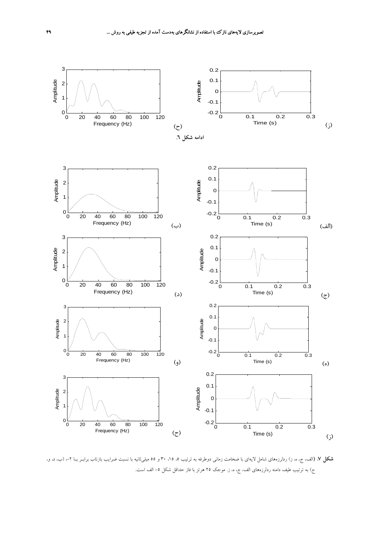

**شكل V.** (الف، ج، ه، ز) ردلرزههاي شامل لايهاي با ضخامت زماني دوطرفه به ترتيب ۵، ۱۵، ۳۰ و ۵۵ ميليءثانيه با نسبت ضرايب بازتاب برابـر بــا ۲-، (ب، د، و، ح) به ترتيب طيف دامنه ردلرزههاي الف، ج، ه، ز. موجک ٢٥ هرتز با فاز حداقل شکل ٥– الف است.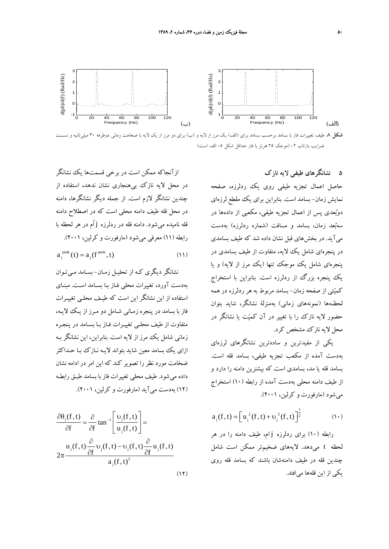

### **5 نشانگرهاي طيفي لايه نازك**

حاصل اعمال تجزيه طيفي روي يك ردلرزه، صفحه نمايش زمان- بسامد است. بنابراين براي يك مقطع لرزهاي دوبعدي پس از اعمال تجزيه طيفي، مكعبي از دادهها در سهبعد زمان، بسامد و مسافت (شماره ردلرزه) بهدست ميآيد. در بخشهاي قبل نشان داده شد كه طيف بسامدي در پنجرهاي شامل يك لايه، متفاوت از طيف بسامدي در پنجرهاي شامل يك موجك تنها (يك مرز از لايه) و يا يك پنجره بزرگ از ردلرزه است. بنابراين با استخراج كميتي از صفحه زمان- بسامد مربوط به هر ردلرزه در همه لحظـهها (نمونههاي زماني) بهمنزلة نشانگر، شايد بتوان حضور لايه نازك را با تغيير در آن كميت يا نشانگر در محل لايه نازك مشخص كرد.

يكي از مفيدترين و سادهترين نشانگرهاي لرزهاي بهدست آمده از مكعب تجزيه طيفي، بسامد قله است. بسامد قله يا مد، بسامدي است كه بيشترين دامنه را دارد و از طيف دامنه محلي بهدست آمده از رابطه (10) استخراج ميشود (مارفورت و كرلين، 2001).

$$
a_{j}(f, t) = \left[ u_{j}^{2}(f, t) + v_{j}^{2}(f, t) \right]^{\frac{1}{2}}
$$
 (1)

رابطه (10) براي ردلرزه j ام، طيف دامنه را در هر لحظه t ميدهد. لايههاي ضخيمتر ممكن است شامل چندين قله در طيف دامنهشان باشند كه بسامد قله روي يكي از اين قلهها ميافتد.

ازآنجاكه ممكن است در برخي قسمتها يك نشانگر در محل لايه نازك بيهنجاري نشان ندهد، استفاده از چندين نشانگر لازم است. از جمله ديگر نشانگرها، دامنه در محل قله طيف دامنه محلي است كه در اصطلاح دامنه قله ناميده ميشود. دامنه قله در ردلرزه j اُم در هر لحظه با رابطه (11) معرفي ميشود (مارفورت و كرلين، 2001).

$$
a_j^{\text{peak}}(t) = a_j(f^{\text{peak}}, t) \tag{11}
$$

نشانگر ديگري كـه از تحليـل زمـان - بسـامد مـيتـوان بهدست آورد، تغييرات محلي فـاز بـا بسـامد اسـت. مبنـاي استفاده از اين نشانگر اين است كه طيـف محلـي تغييـرات فاز با بسامد در پنجره زمـاني شـامل دو مـرز از يـك لايـه، متفاوت از طيف محلـي تغييـرات فـاز بـا بسـامد در پنجـره زماني شامل يك مرز از لايه است . بنابراين، اين نشانگر بـه ازاي يك بسامد معين شايد بتواند لايـه نـازك بـا حـداكثر ضخامت مورد نظر را تصوير كند كه اين امر در ادامه نشان داده ميشود. طيف محلي تغييرات فاز با بسامد طبـق رابطـه (12) بهدست ميآيد (مارفورت و كرلين، 2001).

$$
\frac{\partial \theta_j(f, t)}{\partial f} = \frac{\partial}{\partial f} \tan^{-1} \left[ \frac{v_j(f, t)}{u_j(f, t)} \right] =
$$
  

$$
2\pi \frac{u_j(f, t) \frac{\partial}{\partial f} v_j(f, t) - v_j(f, t) \frac{\partial}{\partial f} u_j(f, t)}{a_j(f, t)^2}
$$
 (17)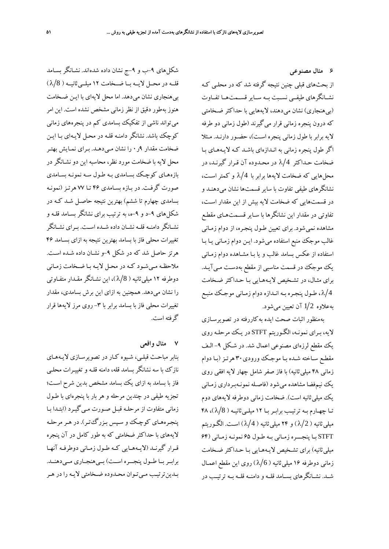**6 مثال مصنوعي** از بحثهاي قبلي چنين نتيجه گرفته شد كه در محلـي كـه نشــانگرهاي طيفــي نســبت بــه ســاير قســمتهــا تفــاوت (بي هنجاري) نشان مي دهند، لايههايي با حداكثر ضـخامتي كه درون پنجره زماني قرار مي گيرند (طول زماني دو طرفه لايه برابر با طول زماني پنجره اسـت )، حضـور دارنـد. مـثلا اگر طول پنجره زماني به انـدازه اي باشـد كـه لايـه هـاي بـا ضخامت حـداكثر 4 λ در محـدوده آن قـرار گيرنـد، در محلهايي كه ضخامت لايهها برابر با 4 λ و كمتر اسـت ، نشانگرهاي طيفي تفاوت با ساير قسمت ها نشان ميدهنـد و در قسمتهايي كه ضخامت لايه بيش از اين مقدار اسـت، تفاوتي در مقدار اين نشانگرها با سـاير قسـمت هـاي مقطـع مشاهده نميشود. براي تعيين طـول پنجـره، از دوام زمـاني غالب موجك منبع استفاده ميشود. ايـن دوام زمـاني يـا بـا استفاده از عكس بسامد غالب و يا بـا مشـاهده دوام زمـاني يك موجك در قسمت مناسبي از مقطع بهدسـت مـيآيــد. براي مثـال، در تشـخيص لايـه هـايي بـا حـداكثر ضـخامت 4 λ ، طـول پنجـره بـه انـدازه دوام زمـاني موجـك منبـع بهعلاوه 2 1 آن تعيين ميشود.

بهمنظور اثبات صحت ايده به كاررفته در تصويرسـازي لايه، بـراي نمونـه، الگـوريتم STFT در يـك مرحلـه روي يك مقطع لرزهاي مصنوعي اعمال شد. در شـكل -9 الـف مقطـع سـاخته شـده بـا موجـك ورودي30 هرتـز(بـا دوام زماني 48 ميليثانيه) با فاز صفر شامل چهار لايه افقي روي يك نيمفضا مشاهده ميشود (فاصـله نمونـهبـرداري زمـاني يك ميليثانيه است). ضخامت زماني دوطرفه لايههاي دوم تـا چهـارم بـه ترتيـب برابـربـا 12 ميلـيثانيـه ( 8 λ( ، 48 ميلي ثانيه ( 2/ ) و ۲۴ ميلي ثانيه ( 4/ ) است. الگـوريتم STFT بـا پنجـــره زمـاني بـه طـول 65 نمونـه زمـاني (64 ميليثانيه) براي تشـخيص لايـههـايي بـا حـداكثر ضـخامت زماني دوطرفه ۱۶ ميلي ثانيه ( 6/( )روي اين مقطع اعمـال شــد. نشــانگرهاي بســامد قلــه و دامنــه قلــه بــه ترتيــب در

شكلهاي -9ب و -9ج نشان داده شدهاند. نشـانگر بسـامد قلــه در محــل لايــه بــا ضــخامت 12 ميلــيثانيــه ( 8 λ( بيهنجاري نشان ميدهد. اما محل لايهاي با ايـن ضـخامت هنوز بهطور دقيق از نظرزماني مشخص نشده است. اين امر ميتواند ناشي از تفكيك بسامدي كم در پنجرههاي زماني كوچك باشد. نشانگر دامنـه قلـه در محـل لايـه اي بـا ايـن ضخامت مقدار 9ر0 را نشان مـي دهـد. بـراي نمـايش بهتـر محل لايه با ضخامت مورد نظر، محاسبه اين دو نشـانگردر بازههـاي كوچـك بسـامدي بـه طـول سـه نمونـه بسـامدي صورت گرفـت. در بـازه بسـامدي 46 تـا 77 هرتـز (نمونـه بسامدي چهارم تا ششم) بهترين نتيجه حاصـل شـد كـه در شكلهاي -9د و -9ه، به ترتيب براي نشانگر بسـامد قلـه و نشـانگر دامنــه قلـه نشــان داده شــده اسـت. بــراي نشــانگر تغييرات محلي فاز با بسامد بهترين نتيجه به ازاي بسـامد 46 هرتز حاصل شد كه در شكل -9و نشـان داده شـده اسـت . ملاحظـه مـيشـود كـه در محـل لايـه بـا ضـخامت زمـاني دوطرفه ۱۲ ميلي ثانيه ( 8/X)، اين نشـانگر مقـدار متفـاوتي را نشان ميدهد. همچنين به ازاي اين برش بسامدي، مقدار تغييرات محلي فاز با بسامد برابر با ٣- روي مرز لايهها قرار گرفته است.

#### **7 مثال واقعي**

بنابر مباحـث قبلـي، شـيوه كـار در تصويرسـازي لايـه هـاي نازك با سه نشانگر بسامد قله، دامنه قلـه و تغييـرات محلـي فاز با بسامد به ازاي يك بسامد مشخص بدين شرح اسـت؛ تجزيه طيفي در چندين مرحله و هر بار با پنجره اي با طـول زماني متفاوت از مرحلـه قبـل صـورت مـي گيـرد (ابتـدا بـا پنجـرههـاي كوچـك و سـپس بـزرگتـر). در هـر مرحلـه لايههاي با حداكثر ضخامتي كه به طور كامل در آن پنجره قـرار گيرنـد (لايـههـايي كـه طـول زمـاني دوطرفـه آنهـا برابـر بــا طــول پنجـــره اســت) بــيهنجــاري مــيدهنــد. بـدينترتيـب مـيتـوان محـدوده ضـخامتي لايـه را در هـر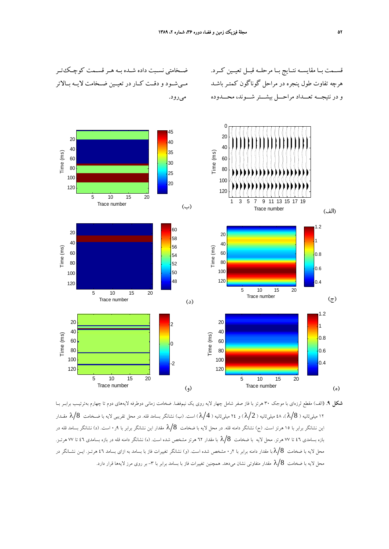ضــخامتي نســبت داده شــده بــه هــر قســمت كوچــكتــر



**شكل .9** (الف) مقطع لرزهاي با موجك 30 هرتز با فاز صفر شامل چهار لايه روي يك نيمفضا. ضخامت زماني دوطرفه لايههاي دوم تا چهارم بهترتيـب برابـر بـا 12 ميليثانيه ( 8 λ( ، 48 ميليثانيه ( 2 λ ( و 24 ميليثانيه ( 4 λ ( است. (ب) نشانگر بسامد قله. در محل تقريبي لايه با ضـخامت 8 λ مقـدار اين نشانگر برابر با 10 هرتز است. (ج) نشانگر دامنه قله. در محل لايه با ضخامت  $\lambda/8$  مقدار اين نشانگر برابر با ۹ر۰ است. (د) نشانگر بسامد قله در بازه بسامدي 46 تا 77 هرتز. محل لايه با ضخامت 8 λ با مقدار 62 هرتز مشخص شده است. (ه) نشانگر دامنه قله در بازه بسامدي 46 تا 77 هرتـز. محل لايه با ضخامت 8 λ با مقدار دامنه برابر با 2ر0 مشخص شده است. (و) نشانگر تغييرات فاز با بسامد به ازاي بسامد 46 هرتـز. ايـن نشـانگر در محل لايه با ضخامت  $\lambda/8$  مقدار متفاوتي نشان مي<هد. همچنين تغييرات فاز با بسامد برابر با ٣- بر روي مرز لايهها قرار دارد.

قســمت بــا مقايســه نتــايج بــا مرحلــه قبــل تعيــين كــرد.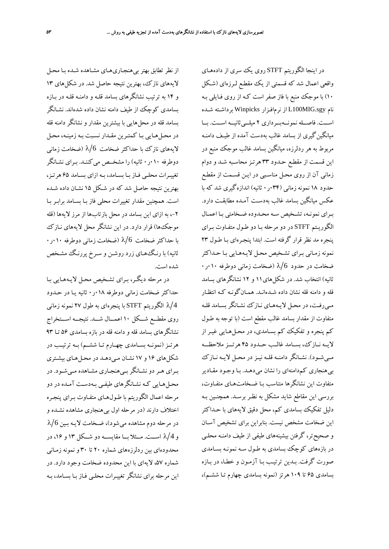در اينجا الگوريتم STFT روي يك سري از داده هـاي واقعي اعمال شد كه قسمتي از يك مقطـع لـ رزهاي (شـكل 10) با موجك منبع با فاز صفر است كـه از روي فـايلي بـه نام sgy.MIG100L از نرمافـزار Winpicks برداشـته شـده اســت. فاصــله نمونــهبــرداري 2 ميلــيثانيــه اســت. بــا ميانگينگيري از بسامد غالب بهدست آمده از طيـف دامنـه مربوط به هر ردلرزه، ميانگين بسامد غالب موجك منبع در اين قسمت از مقطـع حـدود 33 هرتـز محاسـبه شـد و دوام زماني آن از روي محـل مناسـبي در ايـن قسـمت از مقطـع حدود 18 نمونه زماني (034ر0 ثانيه) اندازهگيري شد كه با عكس ميانگين بسامد غالب بهدسـت آمـده مطابقـت دارد . بـراي نمونـه، تشـخيص سـه محـدوده ضـخامتي بـا اعمـال الگوريـتم STFT در دو مرحله بـا دو طـول متفـاوت بـراي پنجره مد نظر قرار گر فته است. ابتدا پنجـرهاي بـا طـول 23 نمونه زمـاني بـراي تشـخيص محـل لايـه هـايي بـا حـداكثر ضخامت در حدود 6 ⁄ا (ضخامت زمانی دوطرفه ۱۰٫۰۱۰ ثانيه) انتخاب شد. در شكلهاي11 و 12 نشانگرهاي بسامد قله و دامنه قله نشان داده شـدهانـد. همـانگونـه كـه انتظـار مـيرفـت، در محـل لايـههـاي نـازك نشـانگر بسـامد قلـه متفاوت از مقدار بسامد غالب مقطع است (با توجه به طـول كم پنجره و تفكيك كم بسـامدي، در محـلهـايي غيـر از لايــه نــازك، بســامد غالــب حــدود 45 هرتـــز ملاحظـــه مــيشــود). نشــانگر دامنــه قلــه نيــزدر محــل لايــه نــازك بيهنجاري كمدامنهاي را نشان ميدهـد. بـا وجـود مقـادير متفاوت اين نشانگرها متناسب بـا ضـخامت هـاي متفـاوت، بررسي اين مقاطع شايد مشكل به نظـر برسـد . همچنـين بـه دليل تفكيك بسامدي كم، محل دقيق لايههاي با حـداكثر اين ضخامت مشخص نيست. بنابراين براي تشخيص آسـان و صحيحتر، گرفتن بيشينههاي طيفي از طيف دامنـه محلـي در بازههاي كوچك بسامدي به طـول سـه نمونـه بسـامدي صورت گرفت. بـدين ترتيـب بـا آزمـون و خطـا، در بـازه بسامدي 65 تا 109 هرتز (نمونه بسامدي چهارم تـا ششـم)،

از نظر تطابق بهتر بيهنجـاريهـاي مشـاهده شـده بـا محـل لايههاي نازك، بهترين نتيجه حاصل شد. در شكلهاي 13 و 14 به ترتيب نشانگرهاي بسامد قلـه و دامنـه قلـه در بـازه بسامدي كوچك از طيف دامنه نشان داده شد هاند. نشـانگر بسامد قله در محلهايي با بيشترين مقدار و نشانگر دامنه قله در محـلهـايي بـا كمتـرين مقـدار نسـبت بـه زمينـه، محـل لايههاي نازك با حداكثر ضخامت 6/لا (ضخامت زماني  $\ell/6$ دوطرفه 010ر0 ثانيه) را مشخــص ميكننـد. بـراي نشـانگر تغييـرات محلـي فـاز بـا بسـامد، بـه ازاي بسـامد 65 هرتـز، بهترين نتيجه حاصل شد كه در شـكل 15 نشـان داده شـده است. همچنين مقدار تغييرات محلي فاز بـا بسـامد برابـر بـا ،-2 به ازاي اين بسامد در محل بازتابها از مرز لايهها (قله موجكها) قرار دارد. در اين نشانگر محل لايه هاي نـازك با حداكثر ضخامت 6 λ) ضخامت زماني دوطرفه 010ر0 ثانيه) با رنـگهـاي زرد روشـن و سـرخ پررنـگ مشـخص شده است.

در مرحله ديگـر، بـراي تشـخيص محـل لايـه هـايي بـا حداكثر ضخامت زماني دوطرفه 018ر0 ثانيه يـا در حـدود 4 λ الگوريتم STFT با پنجرهاي به طول 27 نمونه زماني روي مقطـــع شـــكل 10 اعمـــال شـــد. نتيجـــه اســـتخراج نشانگرهای بسامد قله و دامنه قله در بازه بسامدی ۵۶ تــا ۹۳ هرتــز(نمونــه بســامدي چهــارم تــا ششــم) بــه ترتيــب در شكلهاي 16 و 17 نشـان مـيدهـد در محـل هـاي بيشـتري بـراي هـردو نشـانگربـيهنجـاري مشـاهده مـيشـود. در محـلهـايي كـه نشـانگرهاي طيفـي بـهدسـت آمـده در دو مرحله اعمال الگوريتم با طـول هـاي متفـاوت بـراي پنجـره اختلاف دارند (در مرحله اول بيهنجاري مشاهده نشـده و در مرحله دوم مشاهده مي شود)، ضـخامت لايـه بـين 6 λ و 4 λ اســت. مــثلا بــا مقايســه دو شــكل 13 و ،16 در محدودهاي بين ردلرزههاي شماره 20 تا 30 و نمونه زمـاني شماره ۵۷، لايهاي با اين محدوده ضخامت وجود دارد. در اين مرحله براي نشانگر تغييـرات محلـي فـاز بـا بسـامد، بـه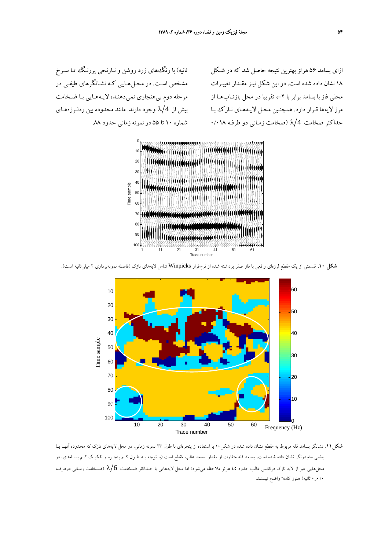ثانيه) با رنگهاي زرد روشن و نـارنجي پررنـگ تـا سـرخ مشخص اسـت. در محـلهـايي كـه نشـانگرهاي طيفـي در مرحله دوم بيهنجاري نميدهنـد، لايـههـايي بـا ضـخامت بيش از 4 λ وجود دارند. مانند محدوده بين ردلـرزههـاي شماره 10 تا 55 در نمونه زماني حدود .88

ازاي بسامد 56 هرتز بهترين نتيجه حاصل شد كه در شـكل 18 نشان داده شده است . در اين شكل نيـز مقـدار تغييـرات محلي فاز با بسامد برابر با ٢-، تقريبا در محل بازتـابهـا از مرز لايهها قـرار دارد. همچنـين محـل لايـه هـاي نـازك بـا حداكثر ضخامت 4 λ) ضخامت زمـاني دو طرفـه 0/018



**شكل .10** قسمتي از يك مقطع لرزهاي واقعي با فاز صفر برداشته شده از نرمافزار Winpicks شامل لايههاي نازك (فاصله نمونهبرداري 2 ميليثانيه است).



**شكل.11** نشانگر بسامد قله مربوط به مقطع نشان داده شده در شكل10 با استفاده از پنجرهاي با طول 23 نمونه زماني. در محل لايههاي نازك كه محدوده آنهـا بـا بيضي سفيدرنگ نشان داده شده است، بسامد قله متفاوت از مقدار بسامد غالب مقطع است (با توجه بـه طـول كـم پنجـره و تفكيـك كـم بسـامدي، در محلهايي غير از لايه نازك فركانس غالب حدود ٤٥ هرتز ملاحظه ميشود) اما محل لايههايي با حـداكثر ضـخامت 6  $\lambda/6$  (ضـخامت زمـاني دوطرفـه 010ر0 ثانيه) هنوز كاملا واضح نيستند.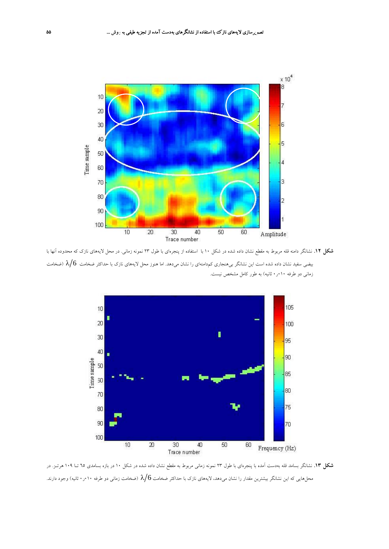

**شكل .12** نشانگر دامنه قله مربوط به مقطع نشان داده شده در شكل 10 با استفاده از پنجرهاي با طول 23 نمونه زماني. در محل لايههاي نازك كه محدوده آنها با بيضي سفيد نشان داده شده است اين نشانگر بي&نجاري كمدامنهاي را نشان ميدهد. اما هنوز محل لايههاي نازك با حداكثر ضخامت  $\delta/6$  (ضخامت زماني دو طرفه 010ر0 ثانيه) به طور كامل مشخص نيست.



**شكل .13** نشانگر بسامد قله بهدست آمده با پنجرهاي با طول 23 نمونه زماني مربوط به مقطع نشان داده شده در شكل 10 در بازه بسامدي 65 تـا 109 هرتـز. در محلهايي كه اين نشانگر بيشترين مقدار را نشان ميدهد، لايههاي نازك با حداكثر ضخامت  $\lambda/6$  (ضخامت زماني دو طرفه ١٠٠ر۰ ثانيه) وجود دارند.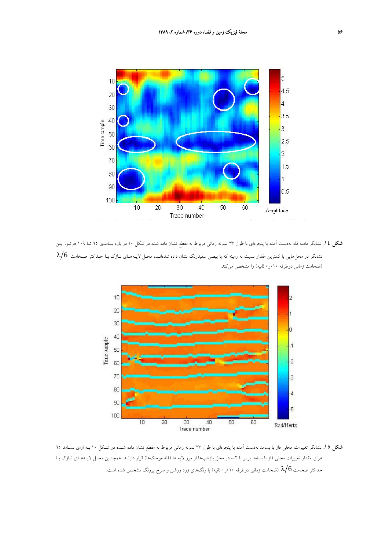

**شكل .14** نشانگر دامنه قله بهدست آمده با پنجرهاي با طول 23 نمونه زماني مربوط به مقطع نشان داده شده در شكل 10 در بازه بسامدي 65 تـا 109 هرتـز. ايـن نشانگر در محلهايي با كمترين مقدار نسبت به زمينه كه با بيضي سفيدرنگ نشان داده شدهانـد، محـل لايـههـاي نــازك بـا حـداكثر ضـخامت 6  $\lambda/6$ (ضخامت زماني دوطرفه 010ر0 ثانيه) را مشخص ميكند.



**شكل .15** نشانگر تغييرات محلي فاز با بسامد بهدست آمده با پنجرهاي با طول 23 نمونه زماني مربوط به مقطع نشان داده شـده در شـكل 10 بـه ازاي بسـامد 65 هرتز. مقدار تغييرات محلي فاز با بسامد برابر با ۲- در محل بازتابها از مرز لايه ها (قله موجكها) قرار دارنـد. همچنـين محـل لايـههـاي نــازك بــا حداکثر ضخامت 6 ⁄A (ضخامت زمانی دوطرفه ۰٫۰۱۰ ثانیه) با رنگهای زرد روشن و سرخ پررنگ مشخص شده است.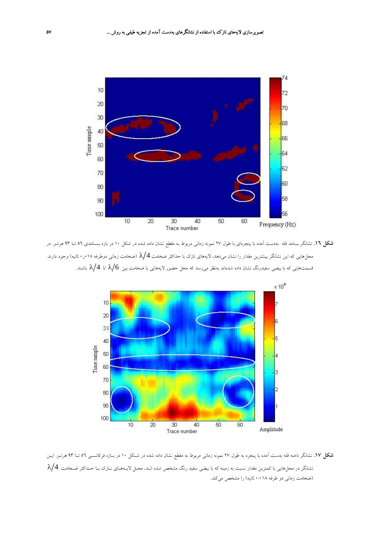

**شكل .16** نشانگر بسامد قله بهدست آمده با پنجرهاي با طول 27 نمونه زماني مربوط به مقطع نشان داده شده در شكل 10 در بازه بسـامدي 56 تـا 93 هرتـز. در محلهايي كه اين نشانگر بيشترين مقدار را نشان ميدهد، لايههاي نازك با حداكثر ضخامت  $\lambda/4$  (ضخامت زماني دوطرفه ١٨٠ر٠ ثانيه) وجود دارند. قسمتهايي كه با بيضي سفيدرنگ نشان داده شدهاند بهنظر مي $_{\rm c}$ سد كه محل حضور لايههايي با ضخامت بين 6  $\lambda/6$  تا  $\lambda/4$  باشند.



**شكل .17** نشانگر دامنه قله بدست آمده با پنجره به طول 27 نمونه زماني مربوط به مقطع نشان داده شده در شـكل 10 در بـازه فركانسـي 56 تـا 93 هرتـز. ايـن نشانگر در محلهايي با كمترين مقدار نسبت به زمينه كه با بيضي سفيد رنگ مشخص شده انـد، محـل لايـههـاي نـازك بـا حـداكثر ضـخامت 4 λ (ضخامت زماني دو طرفه 0/018 ثانيه) را مشخص ميكند.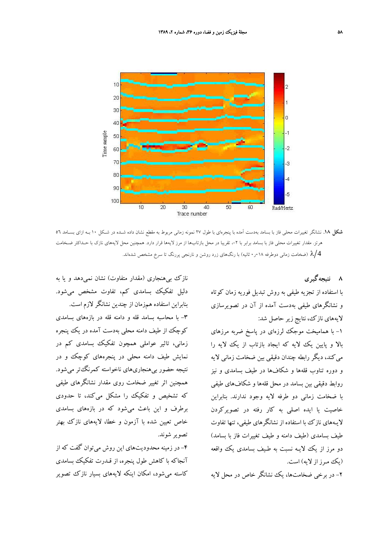

**شكل .18** نشانگر تغييرات محلي فاز با بسامد بهدست آمده با پنجرهاي با طول 27 نمونه زماني مربوط به مقطع نشان داده شـده در شـكل 10 بـه ازاي بسـامد 56 هرتز. مقدار تغييرات محلي فاز با بسامد برابر با ٢-، تقريبا در محل بازتابها از مرز لايهها قرار دارد. همچنين محل لايههاي نازك با حـداكثر ضـخامت خامت زماني دوطرفه ۱۸ $\cdot$ ۰ ثانيه) با رنگ $\epsilon$ هاي زرد روشن و نارنجي پررنگ تا سرخ مشخص شدهاند.  $\lambda/4$ 

**8 نتيجهگيري**

با استفاده از تجزيه طيفي به روش تبديل فوريه زمان كوتاه و نشانگرهاي طيفي بهدست آمده از آن در تصويرسازي لايههاي نازك، نتايج زير حاصل شد:

-1 با هماميخت موجك لرزهاي در پاسخ ضربه مرزهاي بالا و پايين يك لايه كه ايجاد بازتاب از يك لايه را ميكند، ديگر رابطه چندان دقيقي بين ضخامت زماني لايه و دوره تناوب قلهها و شكافها در طيف بسامدي و نيز روابط دقيقي بين بسامد در محل قلهها و شكافهاي طيفي با ضخامت زماني دو طرفه لايه وجود ندارند. بنابراين خاصيت يا ايده اصلي به كار رفته در تصويركردن لايـههاي نازك با استفاده از نشانگرهاي طيفي، تنها تفاوت طيف بسامدي (طيف دامنه و طيف تغييرات فاز با بسامد) دو مرز از يك لايـه نسبت به طـيف بسامدي يك واقعه (يك مـرز از لايه) است.

-2 در برخي ضخامتها، يك نشانگر خاص در محل لايه

نازك بيهنجاري (مقدار متفاوت) نشان نميدهد و يا به دليل تفكيك بسامدي كم، تفاوت مشخص ميشود. بنابراين استفاده همزمان از چندين نشانگر لازم است. -3 با محاسبه بسامد قله و دامنه قله در بازههاي بسامدي كوچك از طيف دامنه محلي بهدست آمده در يك پنجره زماني، تاثير عواملي همچون تفكيك بسامدي كم در نمايش طيف دامنه محلي در پنجرههاي كوچك و در نتيجه حضور بيهنجاريهاي ناخواسته كمرنگتر ميشود. همچنين اثر تغيير ضخامت روي مقدار نشانگرهاي طيفي كه تشخيص و تفكيك را مشكل ميكند، تا حدودي برطرف و اين باعث ميشود كه در بازههاي بسامدي خاص تعيين شده با آزمون و خطا، لايههاي نازك بهتر تصوير شوند.

-4 در زمينه محدوديتهاي اين روش ميتوان گفت كه از آنجاكه با كاهش طول پنجره، از قـدرت تفكيك بسامدي كاسته ميشود، امكان اينكه لايههاي بسيار نازك تصوير